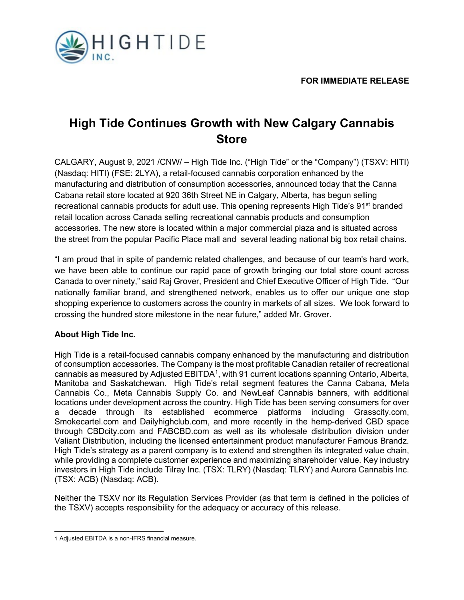



## **High Tide Continues Growth with New Calgary Cannabis Store**

CALGARY, August 9, 2021 /CNW/ – High Tide Inc. ("High Tide" or the "Company") (TSXV: HITI) (Nasdaq: HITI) (FSE: 2LYA), a retail-focused cannabis corporation enhanced by the manufacturing and distribution of consumption accessories, announced today that the Canna Cabana retail store located at 920 36th Street NE in Calgary, Alberta, has begun selling recreational cannabis products for adult use. This opening represents High Tide's 91<sup>st</sup> branded retail location across Canada selling recreational cannabis products and consumption accessories. The new store is located within a major commercial plaza and is situated across the street from the popular Pacific Place mall and several leading national big box retail chains.

"I am proud that in spite of pandemic related challenges, and because of our team's hard work, we have been able to continue our rapid pace of growth bringing our total store count across Canada to over ninety," said Raj Grover, President and Chief Executive Officer of High Tide. "Our nationally familiar brand, and strengthened network, enables us to offer our unique one stop shopping experience to customers across the country in markets of all sizes. We look forward to crossing the hundred store milestone in the near future," added Mr. Grover.

## **About High Tide Inc.**

High Tide is a retail-focused cannabis company enhanced by the manufacturing and distribution of consumption accessories. The Company is the most profitable Canadian retailer of recreational cannabis as measured by Adjusted EBITDA $^{\rm 1}$  $^{\rm 1}$  $^{\rm 1}$ , with 91 current locations spanning Ontario, Alberta, Manitoba and Saskatchewan. High Tide's retail segment features the Canna Cabana, Meta Cannabis Co., Meta Cannabis Supply Co. and NewLeaf Cannabis banners, with additional locations under development across the country. High Tide has been serving consumers for over a decade through its established ecommerce platforms including Grasscity.com, Smokecartel.com and Dailyhighclub.com, and more recently in the hemp-derived CBD space through CBDcity.com and FABCBD.com as well as its wholesale distribution division under Valiant Distribution, including the licensed entertainment product manufacturer Famous Brandz. High Tide's strategy as a parent company is to extend and strengthen its integrated value chain, while providing a complete customer experience and maximizing shareholder value. Key industry investors in High Tide include Tilray Inc. (TSX: TLRY) (Nasdaq: TLRY) and Aurora Cannabis Inc. (TSX: ACB) (Nasdaq: ACB).

Neither the TSXV nor its Regulation Services Provider (as that term is defined in the policies of the TSXV) accepts responsibility for the adequacy or accuracy of this release.

<span id="page-0-0"></span><sup>1</sup> Adjusted EBITDA is a non-IFRS financial measure.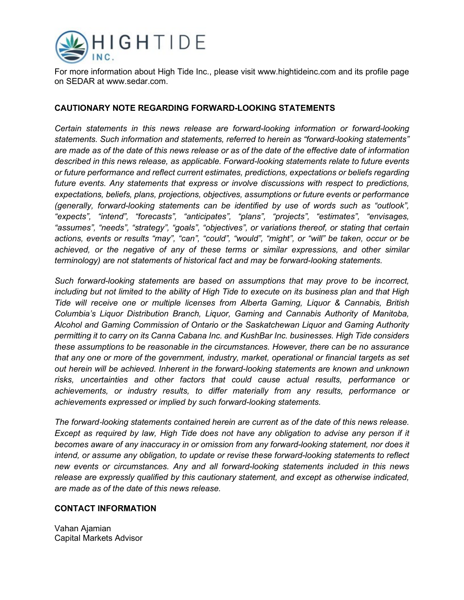

For more information about High Tide Inc., please visit [www.hightideinc.com](https://www.hightideinc.com/) and its profile page on SEDAR at [www.sedar.com.](http://www.sedar.com/)

## **CAUTIONARY NOTE REGARDING FORWARD-LOOKING STATEMENTS**

*Certain statements in this news release are forward-looking information or forward-looking statements. Such information and statements, referred to herein as "forward-looking statements" are made as of the date of this news release or as of the date of the effective date of information described in this news release, as applicable. Forward-looking statements relate to future events or future performance and reflect current estimates, predictions, expectations or beliefs regarding future events. Any statements that express or involve discussions with respect to predictions, expectations, beliefs, plans, projections, objectives, assumptions or future events or performance (generally, forward-looking statements can be identified by use of words such as "outlook", "expects", "intend", "forecasts", "anticipates", "plans", "projects", "estimates", "envisages, "assumes", "needs", "strategy", "goals", "objectives", or variations thereof, or stating that certain actions, events or results "may", "can", "could", "would", "might", or "will" be taken, occur or be achieved, or the negative of any of these terms or similar expressions, and other similar terminology) are not statements of historical fact and may be forward-looking statements.*

*Such forward-looking statements are based on assumptions that may prove to be incorrect, including but not limited to the ability of High Tide to execute on its business plan and that High Tide will receive one or multiple licenses from Alberta Gaming, Liquor & Cannabis, British Columbia's Liquor Distribution Branch, Liquor, Gaming and Cannabis Authority of Manitoba, Alcohol and Gaming Commission of Ontario or the Saskatchewan Liquor and Gaming Authority permitting it to carry on its Canna Cabana Inc. and KushBar Inc. businesses. High Tide considers these assumptions to be reasonable in the circumstances. However, there can be no assurance that any one or more of the government, industry, market, operational or financial targets as set out herein will be achieved. Inherent in the forward-looking statements are known and unknown risks, uncertainties and other factors that could cause actual results, performance or achievements, or industry results, to differ materially from any results, performance or achievements expressed or implied by such forward-looking statements.*

*The forward*‐*looking statements contained herein are current as of the date of this news release. Except as required by law, High Tide does not have any obligation to advise any person if it becomes aware of any inaccuracy in or omission from any forward-looking statement, nor does it intend, or assume any obligation, to update or revise these forward-looking statements to reflect new events or circumstances. Any and all forward-looking statements included in this news release are expressly qualified by this cautionary statement, and except as otherwise indicated, are made as of the date of this news release.*

## **CONTACT INFORMATION**

Vahan Ajamian Capital Markets Advisor